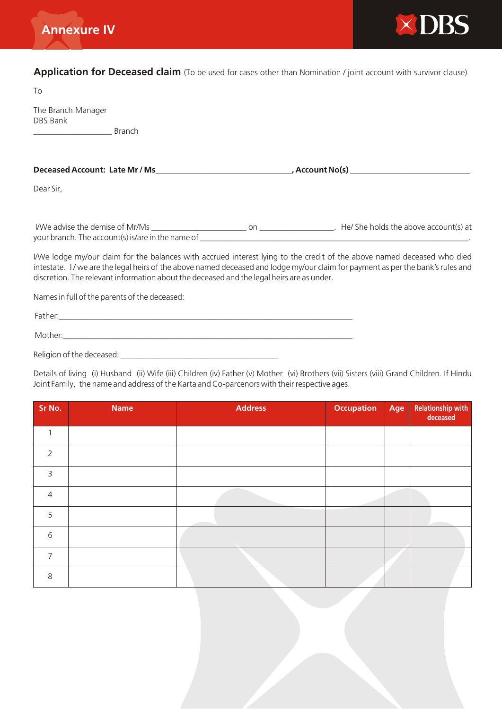



**Application for Deceased claim** (To be used for cases other than Nomination / joint account with survivor clause)

To

The Branch Manager DBS Bank

\_\_\_\_\_\_\_\_\_\_\_\_\_\_\_\_\_\_\_ Branch

| Deceased Account: Late Mr / Ms                                                       |     | , Account No(s)                       |
|--------------------------------------------------------------------------------------|-----|---------------------------------------|
| Dear Sir,                                                                            |     |                                       |
| I/We advise the demise of Mr/Ms<br>your branch. The account(s) is/are in the name of | on. | He/ She holds the above account(s) at |

I/We lodge my/our claim for the balances with accrued interest lying to the credit of the above named deceased who died intestate. I / we are the legal heirs of the above named deceased and lodge my/our claim for payment as per the bank's rules and discretion. The relevant information about the deceased and the legal heirs are as under.

Names in full of the parents of the deceased:

| Father:                   |  |  |
|---------------------------|--|--|
| Mother:                   |  |  |
| Religion of the deceased: |  |  |

Details of living (i) Husband (ii) Wife (iii) Children (iv) Father (v) Mother (vi) Brothers (vii) Sisters (viii) Grand Children. If Hindu Joint Family, the name and address of the Karta and Co-parcenors with their respective ages.

| Sr No.         | <b>Name</b> | <b>Address</b> | <b>Occupation</b> | Age | Relationship with<br>deceased |
|----------------|-------------|----------------|-------------------|-----|-------------------------------|
|                |             |                |                   |     |                               |
| $\overline{2}$ |             |                |                   |     |                               |
| 3              |             |                |                   |     |                               |
| $\overline{4}$ |             |                |                   |     |                               |
| 5              |             |                |                   |     |                               |
| 6              |             |                |                   |     |                               |
| $\overline{7}$ |             |                |                   |     |                               |
| 8              |             |                |                   |     |                               |